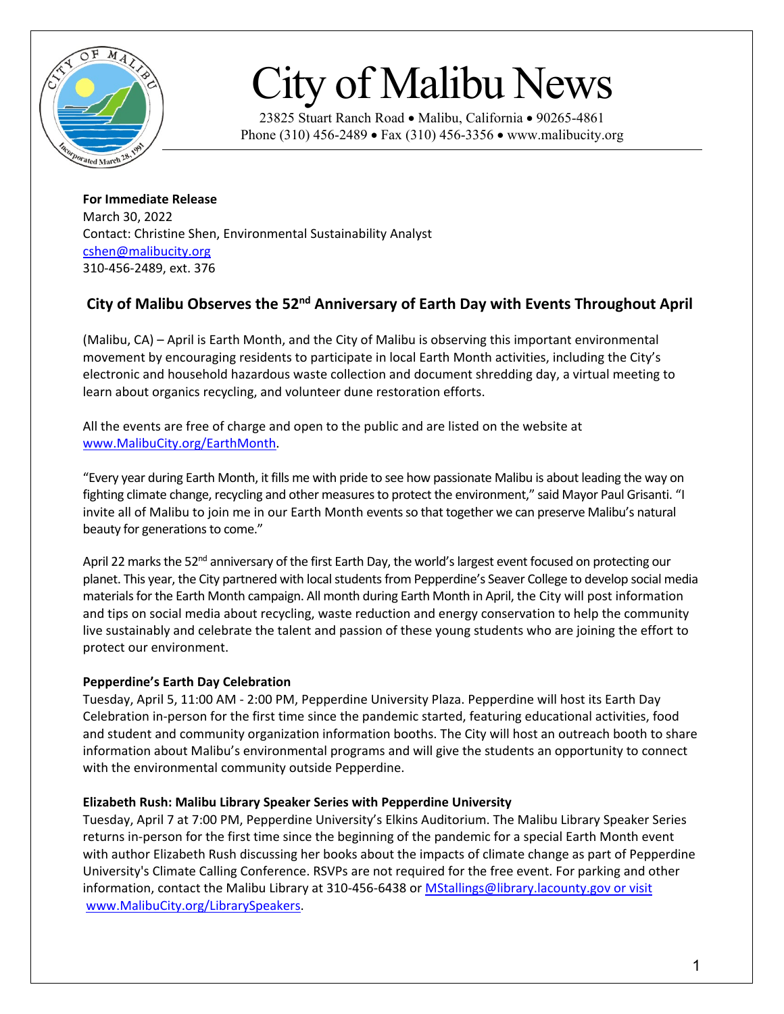

# City of Malibu News

23825 Stuart Ranch Road • Malibu, California • 90265-4861 Phone (310) 456-2489 • Fax (310) 456-3356 • www.malibucity.org

**For Immediate Release** March 30, 2022 Contact: Christine Shen, Environmental Sustainability Analyst [cshen@malibucity.org](mailto:cshen@malibucity.org) 310-456-2489, ext. 376

# **City of Malibu Observes the 52nd Anniversary of Earth Day with Events Throughout April**

(Malibu, CA) – April is Earth Month, and the City of Malibu is observing this important environmental movement by encouraging residents to participate in local Earth Month activities, including the City's electronic and household hazardous waste collection and document shredding day, a virtual meeting to learn about organics recycling, and volunteer dune restoration efforts.

All the events are free of charge and open to the public and are listed on the website at [www.MalibuCity.org/EarthMonth.](http://www.malibucity.org/EarthMonth)

"Every year during Earth Month, it fills me with pride to see how passionate Malibu is about leading the way on fighting climate change, recycling and other measures to protect the environment," said Mayor Paul Grisanti. "I invite all of Malibu to join me in our Earth Month events so that together we can preserve Malibu's natural beauty for generations to come."

April 22 marks the 52<sup>nd</sup> anniversary of the first Earth Day, the world's largest event focused on protecting our planet. This year, the City partnered with local students from Pepperdine's Seaver College to develop social media materials for the Earth Month campaign. All month during Earth Month in April, the City will post information and tips on social media about recycling, waste reduction and energy conservation to help the community live sustainably and celebrate the talent and passion of these young students who are joining the effort to protect our environment.

## **Pepperdine's Earth Day Celebration**

Tuesday, April 5, 11:00 AM - 2:00 PM, Pepperdine University Plaza. Pepperdine will host its Earth Day Celebration in-person for the first time since the pandemic started, featuring educational activities, food and student and community organization information booths. The City will host an outreach booth to share information about Malibu's environmental programs and will give the students an opportunity to connect with the environmental community outside Pepperdine.

#### **Elizabeth Rush: Malibu Library Speaker Series with Pepperdine University**

Tuesday, April 7 at 7:00 PM, Pepperdine University's Elkins Auditorium. The Malibu Library Speaker Series returns in-person for the first time since the beginning of the pandemic for a special Earth Month event with author Elizabeth Rush discussing her books about the impacts of climate change as part of Pepperdine University's Climate Calling Conference. RSVPs are not required for the free event. For parking and other information, contact the Malibu Library at 310-456-6438 or [MStallings@library.lacounty.gov](mailto:MStallings@library.lacounty.gov) or visit [www.MalibuCity.org/LibrarySpeakers.](http://www.malibucity.org/LibrarySpeakers)